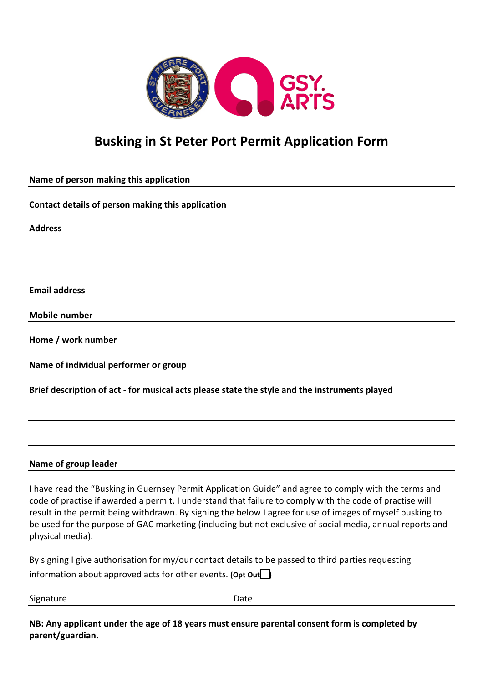

# **Busking in St Peter Port Permit Application Form**

| Name of person making this application                                                        |
|-----------------------------------------------------------------------------------------------|
| Contact details of person making this application                                             |
| <b>Address</b>                                                                                |
|                                                                                               |
| <b>Email address</b>                                                                          |
| <b>Mobile number</b>                                                                          |
| Home / work number                                                                            |
| Name of individual performer or group                                                         |
| Brief description of act - for musical acts please state the style and the instruments played |
|                                                                                               |
| Name of group leader                                                                          |

I have read the "Busking in Guernsey Permit Application Guide" and agree to comply with the terms and code of practise if awarded a permit. I understand that failure to comply with the code of practise will result in the permit being withdrawn. By signing the below I agree for use of images of myself busking to be used for the purpose of GAC marketing (including but not exclusive of social media, annual reports and physical media).

| By signing I give authorisation for my/our contact details to be passed to third parties requesting |  |
|-----------------------------------------------------------------------------------------------------|--|
| information about approved acts for other events. (Opt Out $\Box$ )                                 |  |

Signature Date Date

**NB: Any applicant under the age of 18 years must ensure parental consent form is completed by parent/guardian.**